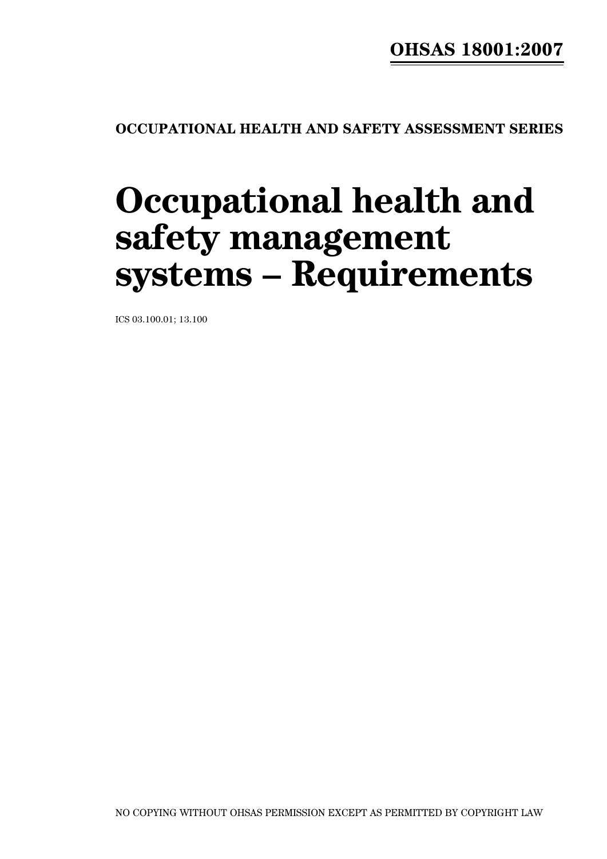**OCCUPATIONAL HEALTH AND SAFETY ASSESSMENT SERIES**

# **Occupational health and safety management systems – Requirements**

ICS 03.100.01; 13.100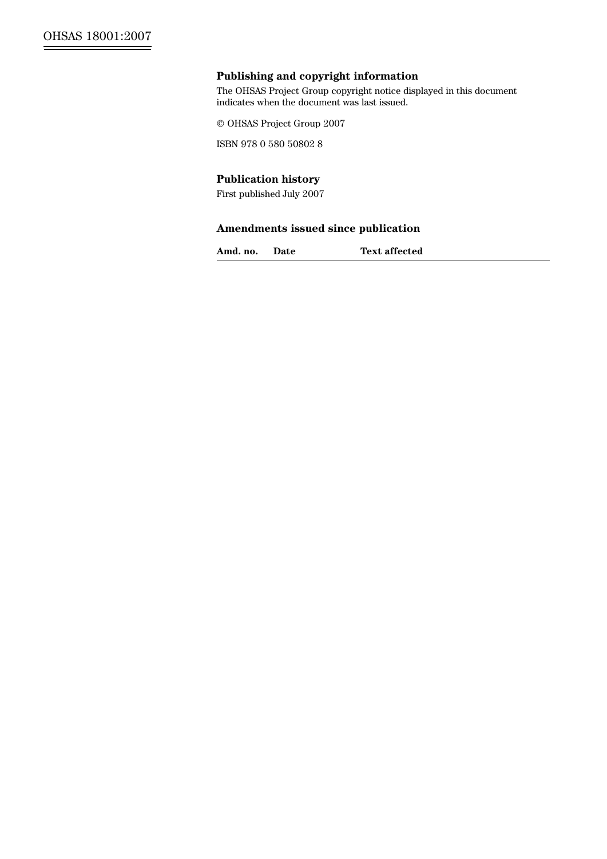$\blacksquare$ 

#### **Publishing and copyright information**

The OHSAS Project Group copyright notice displayed in this document indicates when the document was last issued.

© OHSAS Project Group 2007

ISBN 978 0 580 50802 8

### **Publication history**

First published July 2007

#### **Amendments issued since publication**

Amd. no. Date Text affected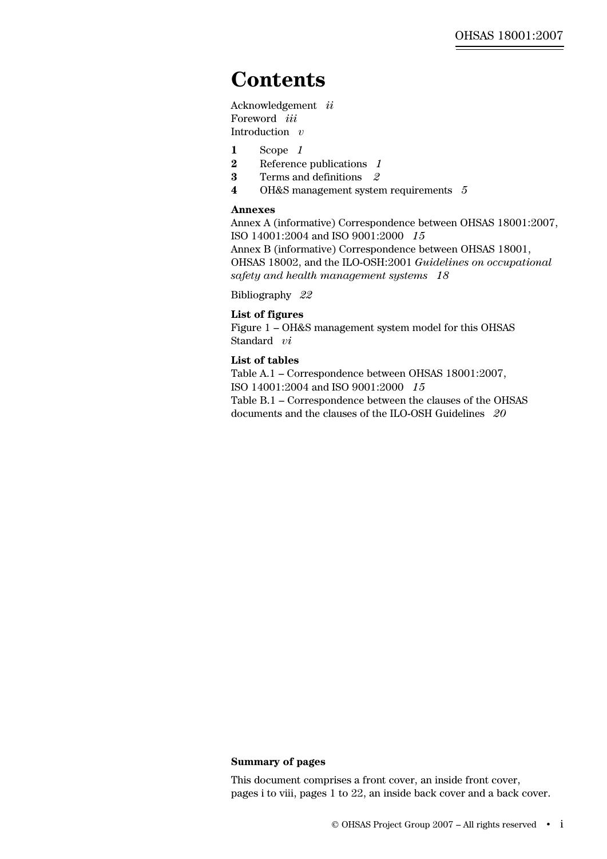# **Contents**

Acknowledgement *ii* Foreword *iii*

Introduction *v*

- **1** [Scope](#page-10-0) *1*
- **2** [Reference publications](#page-10-1) *1*
- **3** [Terms and definitions](#page-11-0) *2*
- **4** [OH&S management system requirements](#page-14-0) *5*

#### **Annexes**

[Annex A \(informative\) Correspondence between OHSAS 18001:2007,](#page-24-1)  [ISO 14001:2004 and ISO 9001:2000](#page-24-1) *15* Annex B (informative) Correspondence between OHSAS 18001, OHSAS 18002, and the ILO-OSH:2001 *Guidelines on occupational safety and health management systems [18](#page-27-0)*

[Bibliography](#page-31-0) *22*

#### **List of figures**

Figure 1 – OH&S management system model for this OHSAS Standard *vi*

#### **List of tables**

Table A.1 – Correspondence between OHSAS 18001:2007, ISO 14001:2004 and ISO 9001:2000 *[15](#page-24-0)* [Table B.1 – Correspondence between the clauses of the OHSAS](#page-29-0)  [documents and the clauses of the ILO-OSH Guidelines](#page-29-0) *20*

#### **Summary of pages**

This document comprises a front cover, an inside front cover, pages i to viii, pages 1 to 22, an inside back cover and a back cover.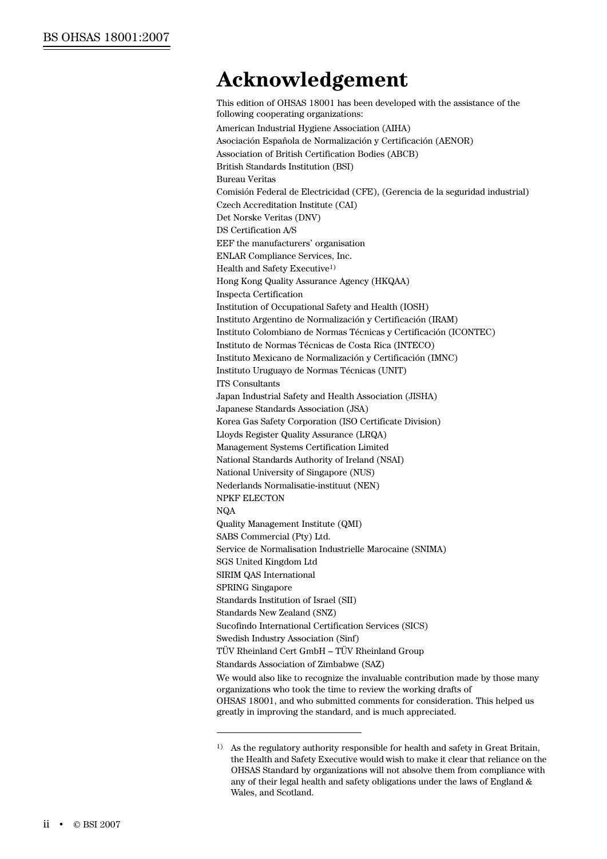# **Acknowledgement**

This edition of OHSAS 18001 has been developed with the assistance of the following cooperating organizations: American Industrial Hygiene Association (AIHA) Asociación Española de Normalización y Certificación (AENOR) Association of British Certification Bodies (ABCB) British Standards Institution (BSI) Bureau Veritas Comisión Federal de Electricidad (CFE), (Gerencia de la seguridad industrial) Czech Accreditation Institute (CAI) Det Norske Veritas (DNV) DS Certification A/S EEF the manufacturers' organisation ENLAR Compliance Services, Inc. Health and Safety Executive1) Hong Kong Quality Assurance Agency (HKQAA) Inspecta Certification Institution of Occupational Safety and Health (IOSH) Instituto Argentino de Normalización y Certificación (IRAM) Instituto Colombiano de Normas Técnicas y Certificación (ICONTEC) Instituto de Normas Técnicas de Costa Rica (INTECO) Instituto Mexicano de Normalización y Certificación (IMNC) Instituto Uruguayo de Normas Técnicas (UNIT) ITS Consultants Japan Industrial Safety and Health Association (JISHA) Japanese Standards Association (JSA) Korea Gas Safety Corporation (ISO Certificate Division) Lloyds Register Quality Assurance (LRQA) Management Systems Certification Limited National Standards Authority of Ireland (NSAI) National University of Singapore (NUS) Nederlands Normalisatie-instituut (NEN) NPKF ELECTON NQA Quality Management Institute (QMI) SABS Commercial (Pty) Ltd. Service de Normalisation Industrielle Marocaine (SNIMA) SGS United Kingdom Ltd SIRIM QAS International SPRING Singapore Standards Institution of Israel (SII) Standards New Zealand (SNZ) Sucofindo International Certification Services (SICS) Swedish Industry Association (Sinf) TÜV Rheinland Cert GmbH – TÜV Rheinland Group Standards Association of Zimbabwe (SAZ) We would also like to recognize the invaluable contribution made by those many organizations who took the time to review the working drafts of OHSAS 18001, and who submitted comments for consideration. This helped us greatly in improving the standard, and is much appreciated.

<sup>&</sup>lt;sup>1)</sup> As the regulatory authority responsible for health and safety in Great Britain, the Health and Safety Executive would wish to make it clear that reliance on the OHSAS Standard by organizations will not absolve them from compliance with any of their legal health and safety obligations under the laws of England & Wales, and Scotland.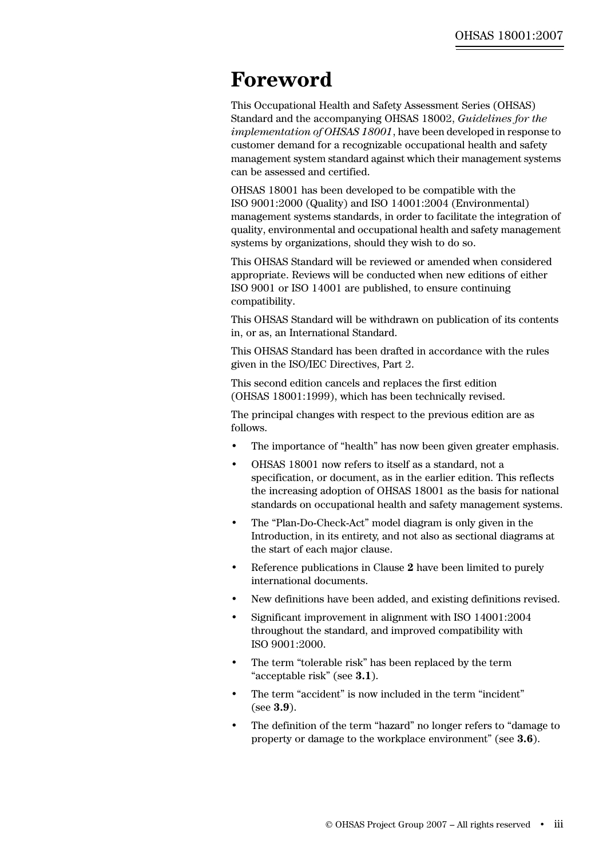# **Foreword**

This Occupational Health and Safety Assessment Series (OHSAS) Standard and the accompanying OHSAS 18002, *Guidelines for the implementation of OHSAS 18001*, have been developed in response to customer demand for a recognizable occupational health and safety management system standard against which their management systems can be assessed and certified.

OHSAS 18001 has been developed to be compatible with the ISO 9001:2000 (Quality) and ISO 14001:2004 (Environmental) management systems standards, in order to facilitate the integration of quality, environmental and occupational health and safety management systems by organizations, should they wish to do so.

This OHSAS Standard will be reviewed or amended when considered appropriate. Reviews will be conducted when new editions of either ISO 9001 or ISO 14001 are published, to ensure continuing compatibility.

This OHSAS Standard will be withdrawn on publication of its contents in, or as, an International Standard.

This OHSAS Standard has been drafted in accordance with the rules given in the ISO/IEC Directives, Part 2.

This second edition cancels and replaces the first edition (OHSAS 18001:1999), which has been technically revised.

The principal changes with respect to the previous edition are as follows.

- The importance of "health" has now been given greater emphasis.
- OHSAS 18001 now refers to itself as a standard, not a specification, or document, as in the earlier edition. This reflects the increasing adoption of OHSAS 18001 as the basis for national standards on occupational health and safety management systems.
- The "Plan-Do-Check-Act" model diagram is only given in the Introduction, in its entirety, and not also as sectional diagrams at the start of each major clause.
- Reference publications in Clause **2** have been limited to purely international documents.
- New definitions have been added, and existing definitions revised.
- Significant improvement in alignment with ISO 14001:2004 throughout the standard, and improved compatibility with ISO 9001:2000.
- The term "tolerable risk" has been replaced by the term "acceptable risk" (see **[3.1](#page-11-1)**).
- The term "accident" is now included in the term "incident" (see **[3.9](#page-12-0)**).
- The definition of the term "hazard" no longer refers to "damage to property or damage to the workplace environment" (see **[3.6](#page-11-2)**).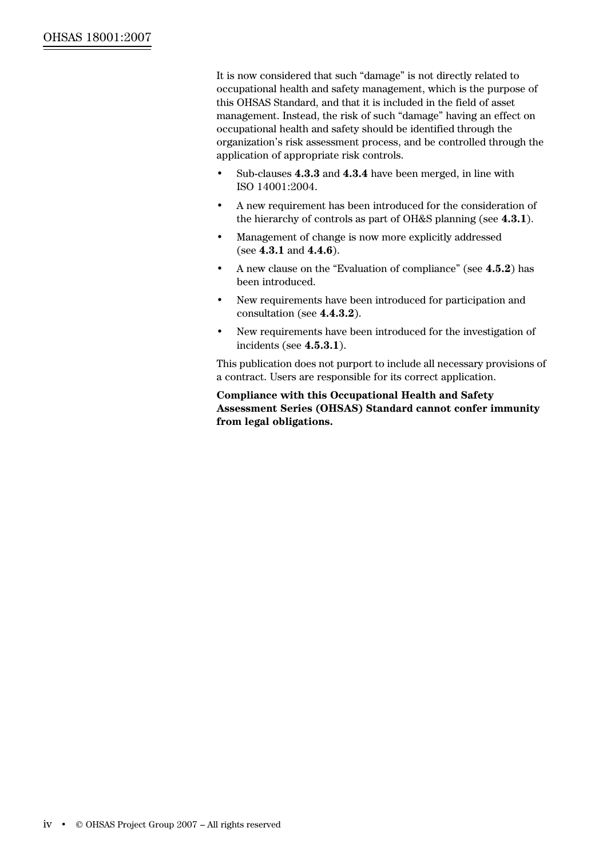It is now considered that such "damage" is not directly related to occupational health and safety management, which is the purpose of this OHSAS Standard, and that it is included in the field of asset management. Instead, the risk of such "damage" having an effect on occupational health and safety should be identified through the organization's risk assessment process, and be controlled through the application of appropriate risk controls.

- Sub-clauses **[4.3.3](#page-16-0)** and **4.3.4** have been merged, in line with ISO 14001:2004.
- A new requirement has been introduced for the consideration of the hierarchy of controls as part of OH&S planning (see **[4.3.1](#page-15-0)**).
- Management of change is now more explicitly addressed (see **[4.3.1](#page-15-0)** and **[4.4.6](#page-20-0)**).
- A new clause on the "Evaluation of compliance" (see **[4.5.2](#page-21-0)**) has been introduced.
- New requirements have been introduced for participation and consultation (see **[4.4.3.2](#page-18-0)**).
- New requirements have been introduced for the investigation of incidents (see **[4.5.3.1](#page-21-1)**).

This publication does not purport to include all necessary provisions of a contract. Users are responsible for its correct application.

**Compliance with this Occupational Health and Safety Assessment Series (OHSAS) Standard cannot confer immunity from legal obligations.**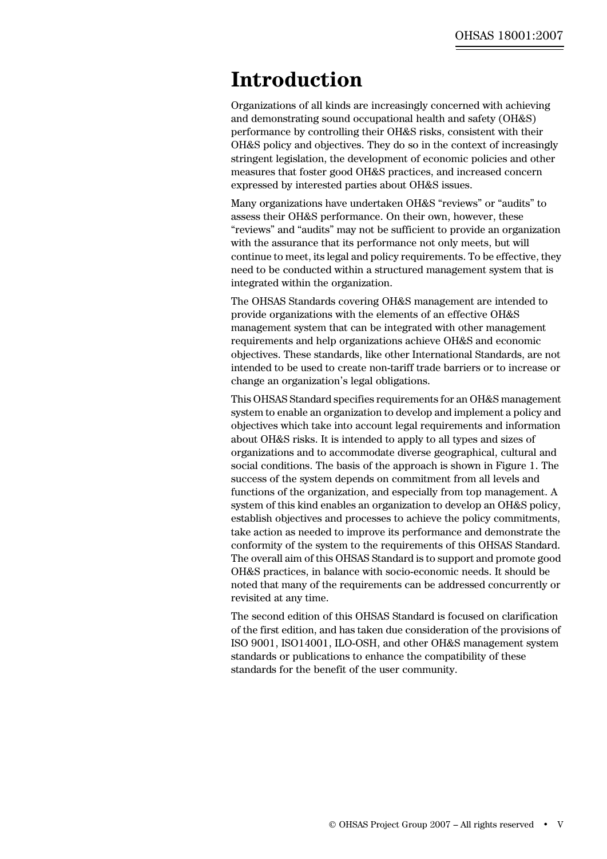# **Introduction**

Organizations of all kinds are increasingly concerned with achieving and demonstrating sound occupational health and safety (OH&S) performance by controlling their OH&S risks, consistent with their OH&S policy and objectives. They do so in the context of increasingly stringent legislation, the development of economic policies and other measures that foster good OH&S practices, and increased concern expressed by interested parties about OH&S issues.

Many organizations have undertaken OH&S "reviews" or "audits" to assess their OH&S performance. On their own, however, these "reviews" and "audits" may not be sufficient to provide an organization with the assurance that its performance not only meets, but will continue to meet, its legal and policy requirements. To be effective, they need to be conducted within a structured management system that is integrated within the organization.

The OHSAS Standards covering OH&S management are intended to provide organizations with the elements of an effective OH&S management system that can be integrated with other management requirements and help organizations achieve OH&S and economic objectives. These standards, like other International Standards, are not intended to be used to create non-tariff trade barriers or to increase or change an organization's legal obligations.

This OHSAS Standard specifies requirements for an OH&S management system to enable an organization to develop and implement a policy and objectives which take into account legal requirements and information about OH&S risks. It is intended to apply to all types and sizes of organizations and to accommodate diverse geographical, cultural and social conditions. The basis of the approach is shown in [Figure 1](#page-7-0). The success of the system depends on commitment from all levels and functions of the organization, and especially from top management. A system of this kind enables an organization to develop an OH&S policy, establish objectives and processes to achieve the policy commitments, take action as needed to improve its performance and demonstrate the conformity of the system to the requirements of this OHSAS Standard. The overall aim of this OHSAS Standard is to support and promote good OH&S practices, in balance with socio-economic needs. It should be noted that many of the requirements can be addressed concurrently or revisited at any time.

The second edition of this OHSAS Standard is focused on clarification of the first edition, and has taken due consideration of the provisions of ISO 9001, ISO14001, ILO-OSH, and other OH&S management system standards or publications to enhance the compatibility of these standards for the benefit of the user community.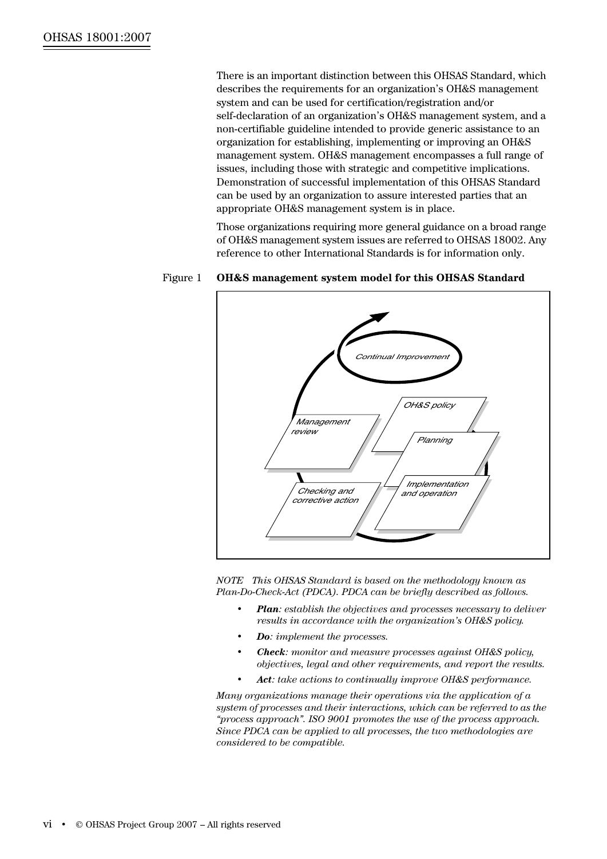There is an important distinction between this OHSAS Standard, which describes the requirements for an organization's OH&S management system and can be used for certification/registration and/or self-declaration of an organization's OH&S management system, and a non-certifiable guideline intended to provide generic assistance to an organization for establishing, implementing or improving an OH&S management system. OH&S management encompasses a full range of issues, including those with strategic and competitive implications. Demonstration of successful implementation of this OHSAS Standard can be used by an organization to assure interested parties that an appropriate OH&S management system is in place.

Those organizations requiring more general guidance on a broad range of OH&S management system issues are referred to OHSAS 18002. Any reference to other International Standards is for information only.



#### <span id="page-7-0"></span>Figure 1 **OH&S management system model for this OHSAS Standard**

*NOTE This OHSAS Standard is based on the methodology known as Plan-Do-Check-Act (PDCA). PDCA can be briefly described as follows.*

- *• Plan: establish the objectives and processes necessary to deliver results in accordance with the organization's OH&S policy.*
- *• Do: implement the processes.*
- *• Check: monitor and measure processes against OH&S policy, objectives, legal and other requirements, and report the results.*
- *• Act: take actions to continually improve OH&S performance.*

*Many organizations manage their operations via the application of a system of processes and their interactions, which can be referred to as the "process approach". ISO 9001 promotes the use of the process approach. Since PDCA can be applied to all processes, the two methodologies are considered to be compatible.*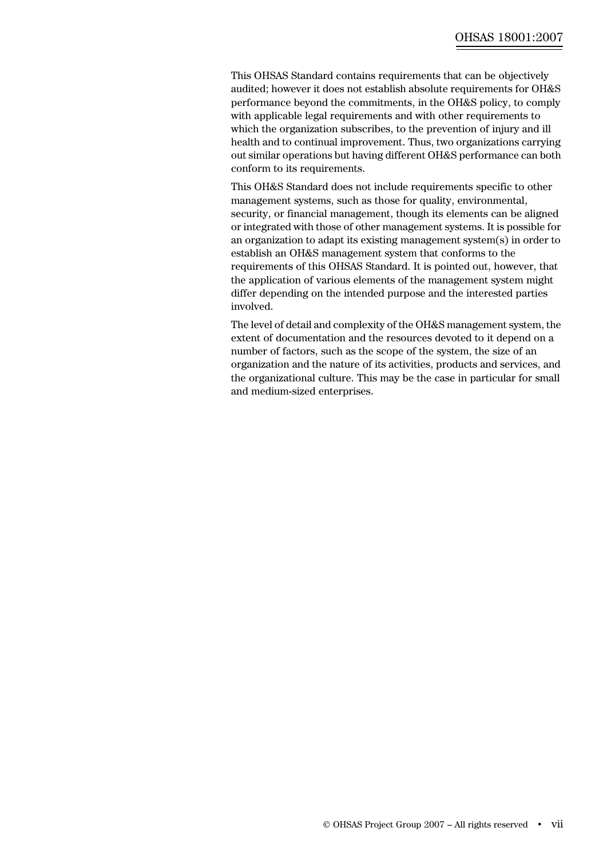This OHSAS Standard contains requirements that can be objectively audited; however it does not establish absolute requirements for OH&S performance beyond the commitments, in the OH&S policy, to comply with applicable legal requirements and with other requirements to which the organization subscribes, to the prevention of injury and ill health and to continual improvement. Thus, two organizations carrying out similar operations but having different OH&S performance can both conform to its requirements.

This OH&S Standard does not include requirements specific to other management systems, such as those for quality, environmental, security, or financial management, though its elements can be aligned or integrated with those of other management systems. It is possible for an organization to adapt its existing management system(s) in order to establish an OH&S management system that conforms to the requirements of this OHSAS Standard. It is pointed out, however, that the application of various elements of the management system might differ depending on the intended purpose and the interested parties involved.

The level of detail and complexity of the OH&S management system, the extent of documentation and the resources devoted to it depend on a number of factors, such as the scope of the system, the size of an organization and the nature of its activities, products and services, and the organizational culture. This may be the case in particular for small and medium-sized enterprises.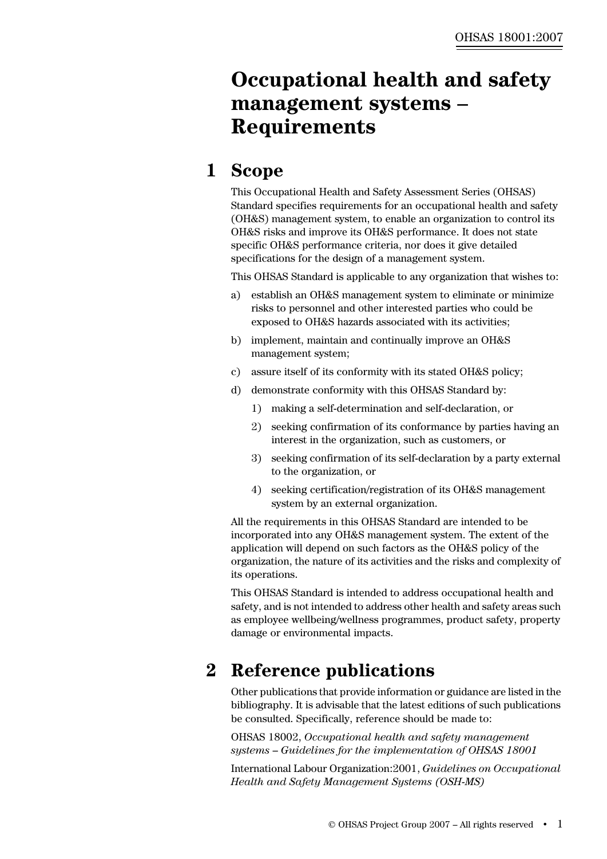# **Occupational health and safety management systems** – **Requirements**

# <span id="page-10-0"></span>**1 Scope**

This Occupational Health and Safety Assessment Series (OHSAS) Standard specifies requirements for an occupational health and safety (OH&S) management system, to enable an organization to control its OH&S risks and improve its OH&S performance. It does not state specific OH&S performance criteria, nor does it give detailed specifications for the design of a management system.

This OHSAS Standard is applicable to any organization that wishes to:

- a) establish an OH&S management system to eliminate or minimize risks to personnel and other interested parties who could be exposed to OH&S hazards associated with its activities;
- b) implement, maintain and continually improve an OH&S management system;
- c) assure itself of its conformity with its stated OH&S policy;
- d) demonstrate conformity with this OHSAS Standard by:
	- 1) making a self-determination and self-declaration, or
	- 2) seeking confirmation of its conformance by parties having an interest in the organization, such as customers, or
	- 3) seeking confirmation of its self-declaration by a party external to the organization, or
	- 4) seeking certification/registration of its OH&S management system by an external organization.

All the requirements in this OHSAS Standard are intended to be incorporated into any OH&S management system. The extent of the application will depend on such factors as the OH&S policy of the organization, the nature of its activities and the risks and complexity of its operations.

This OHSAS Standard is intended to address occupational health and safety, and is not intended to address other health and safety areas such as employee wellbeing/wellness programmes, product safety, property damage or environmental impacts.

# <span id="page-10-1"></span>**2 Reference publications**

Other publications that provide information or guidance are listed in the bibliography. It is advisable that the latest editions of such publications be consulted. Specifically, reference should be made to:

OHSAS 18002, *Occupational health and safety management systems* – *Guidelines for the implementation of OHSAS 18001*

International Labour Organization:2001, *Guidelines on Occupational Health and Safety Management Systems (OSH-MS)*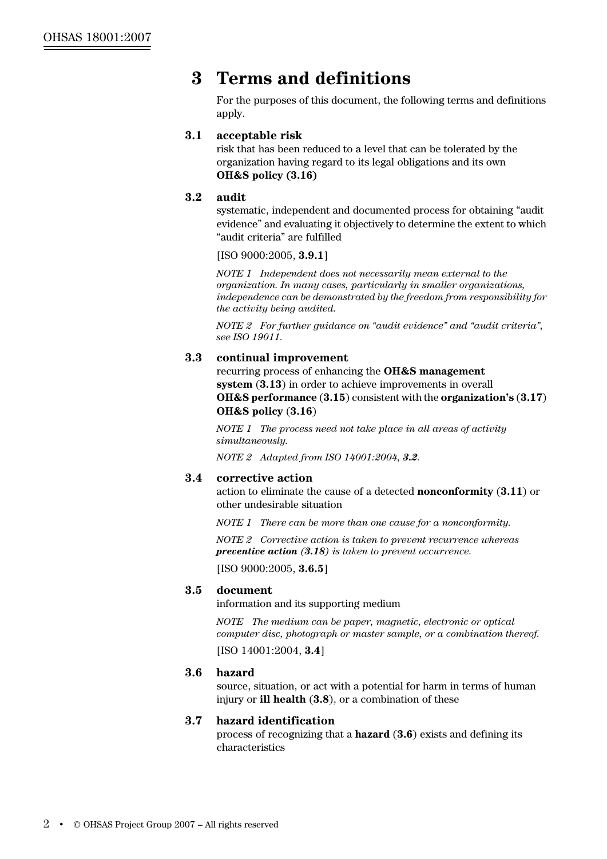# <span id="page-11-0"></span>**3 Terms and definitions**

For the purposes of this document, the following terms and definitions apply.

#### <span id="page-11-1"></span>**3.1 acceptable risk**

risk that has been reduced to a level that can be tolerated by the organization having regard to its legal obligations and its own **OH&S policy [\(3.16\)](#page-13-0)**

### **3.2 audit**

systematic, independent and documented process for obtaining "audit evidence" and evaluating it objectively to determine the extent to which "audit criteria" are fulfilled

[ISO 9000:2005, **3.9.1**]

*NOTE 1 Independent does not necessarily mean external to the organization. In many cases, particularly in smaller organizations, independence can be demonstrated by the freedom from responsibility for the activity being audited.*

*NOTE 2 For further guidance on "audit evidence" and "audit criteria", see ISO 19011.*

#### **3.3 continual improvement**

recurring process of enhancing the **OH&S management system** (**[3.13](#page-12-1)**) in order to achieve improvements in overall **OH&S performance** (**[3.15](#page-13-1)**) consistent with the **organization's** (**[3.17](#page-13-2)**) **OH&S policy** (**[3.16](#page-13-0)**)

*NOTE 1 The process need not take place in all areas of activity simultaneously.*

*NOTE 2 Adapted from ISO 14001:2004, 3.2.*

#### <span id="page-11-3"></span>**3.4 corrective action**

action to eliminate the cause of a detected **nonconformity** (**[3.11](#page-12-2)**) or other undesirable situation

*NOTE 1 There can be more than one cause for a nonconformity.*

*NOTE 2 Corrective action is taken to prevent recurrence whereas preventive action ([3.18](#page-13-3)) is taken to prevent occurrence.*

[ISO 9000:2005, **3.6.5**]

# **3.5 document**

information and its supporting medium

*NOTE The medium can be paper, magnetic, electronic or optical computer disc, photograph or master sample, or a combination thereof.* [ISO 14001:2004, **3.4**]

### <span id="page-11-2"></span>**3.6 hazard**

source, situation, or act with a potential for harm in terms of human injury or **ill health** (**[3.8](#page-12-3)**), or a combination of these

#### **3.7 hazard identification**

process of recognizing that a **hazard** (**[3.6](#page-11-2)**) exists and defining its characteristics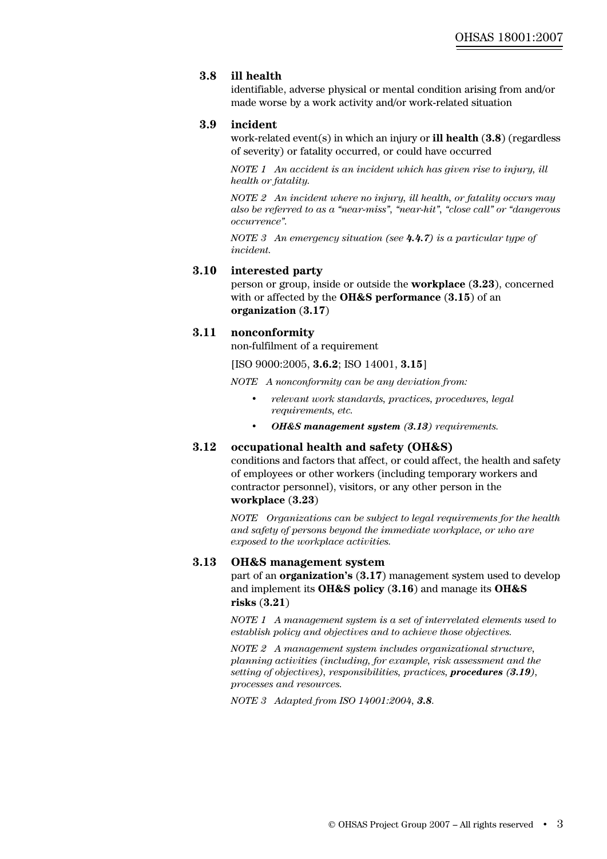### <span id="page-12-3"></span>**3.8 ill health**

identifiable, adverse physical or mental condition arising from and/or made worse by a work activity and/or work-related situation

#### <span id="page-12-0"></span>**3.9 incident**

work-related event(s) in which an injury or **ill health** (**[3.8](#page-12-3)**) (regardless of severity) or fatality occurred, or could have occurred

*NOTE 1 An accident is an incident which has given rise to injury, ill health or fatality.*

*NOTE 2 An incident where no injury, ill health, or fatality occurs may also be referred to as a "near-miss", "near-hit", "close call" or "dangerous occurrence".*

*NOTE 3 An emergency situation (see [4.4.7](#page-20-1)) is a particular type of incident.*

#### **3.10 interested party**

person or group, inside or outside the **workplace** (**[3.23](#page-14-1)**), concerned with or affected by the **OH&S performance** (**[3.15](#page-13-1)**) of an **organization** (**[3.17](#page-13-2)**)

#### <span id="page-12-2"></span>**3.11 nonconformity**

non-fulfilment of a requirement

[ISO 9000:2005, **3.6.2**; ISO 14001, **3.15**]

*NOTE A nonconformity can be any deviation from:*

- *relevant work standards, practices, procedures, legal requirements, etc.*
- *• OH&S management system (3.13) requirements.*

#### <span id="page-12-4"></span>**3.12 occupational health and safety (OH&S)**

conditions and factors that affect, or could affect, the health and safety of employees or other workers (including temporary workers and contractor personnel), visitors, or any other person in the **workplace** (**[3.23](#page-14-1)**)

*NOTE Organizations can be subject to legal requirements for the health and safety of persons beyond the immediate workplace, or who are exposed to the workplace activities.*

#### <span id="page-12-1"></span>**3.13 OH&S management system**

part of an **organization's** (**[3.17](#page-13-2)**) management system used to develop and implement its **OH&S policy** (**[3.16](#page-13-0)**) and manage its **OH&S risks** (**[3.21](#page-13-4)**)

*NOTE 1 A management system is a set of interrelated elements used to establish policy and objectives and to achieve those objectives.*

*NOTE 2 A management system includes organizational structure, planning activities (including, for example, risk assessment and the setting of objectives), responsibilities, practices, procedures ([3.19](#page-13-5)), processes and resources.*

*NOTE 3 Adapted from ISO 14001:2004, 3.8.*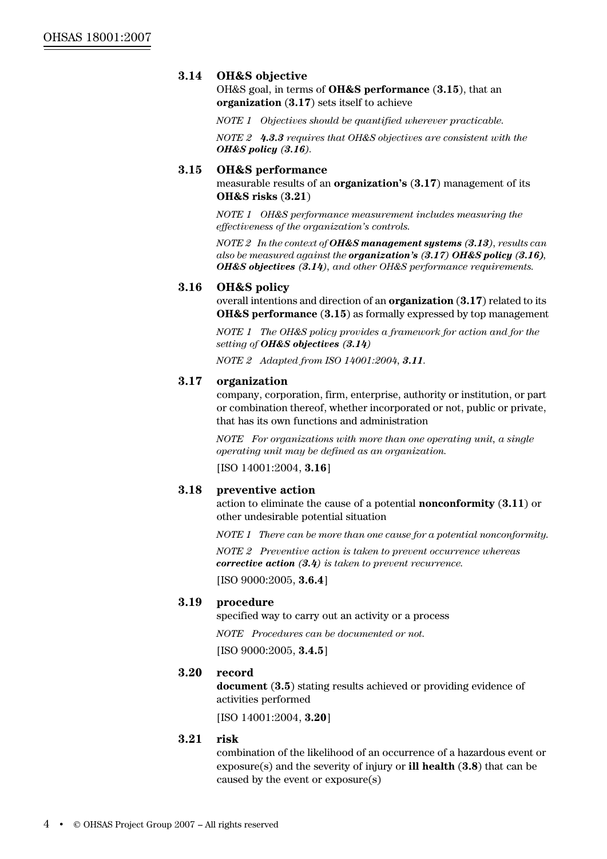#### <span id="page-13-6"></span>**3.14 OH&S objective**

OH&S goal, in terms of **OH&S performance** (**[3.15](#page-13-1)**), that an **organization** (**[3.17](#page-13-2)**) sets itself to achieve

*NOTE 1 Objectives should be quantified wherever practicable.* 

*NOTE 2 [4.3.3](#page-16-0) requires that OH&S objectives are consistent with the OH&S policy ([3.16](#page-13-0)).*

#### <span id="page-13-1"></span>**3.15 OH&S performance**

measurable results of an **organization's** (**[3.17](#page-13-2)**) management of its **OH&S risks** (**[3.21](#page-13-4)**)

*NOTE 1 OH&S performance measurement includes measuring the effectiveness of the organization's controls.*

*NOTE 2 In the context of OH&S management systems ([3.13](#page-12-1)), results can also be measured against the organization's ([3.17](#page-13-2)) OH&S policy ([3.16\)](#page-13-0), OH&S objectives ([3.14](#page-13-6)), and other OH&S performance requirements.*

#### <span id="page-13-0"></span>**3.16 OH&S policy**

overall intentions and direction of an **organization** (**[3.17](#page-13-2)**) related to its **OH&S performance** (**[3.15](#page-13-1)**) as formally expressed by top management

*NOTE 1 The OH&S policy provides a framework for action and for the setting of OH&S objectives ([3.14](#page-13-6))*

*NOTE 2 Adapted from ISO 14001:2004, 3.11.*

#### <span id="page-13-2"></span>**3.17 organization**

company, corporation, firm, enterprise, authority or institution, or part or combination thereof, whether incorporated or not, public or private, that has its own functions and administration

*NOTE For organizations with more than one operating unit, a single operating unit may be defined as an organization.*

[ISO 14001:2004, **3.16**]

#### <span id="page-13-3"></span>**3.18 preventive action**

action to eliminate the cause of a potential **nonconformity** (**[3.11](#page-12-2)**) or other undesirable potential situation

*NOTE 1 There can be more than one cause for a potential nonconformity.*

*NOTE 2 Preventive action is taken to prevent occurrence whereas corrective action ([3.4](#page-11-3)) is taken to prevent recurrence.*

[ISO 9000:2005, **3.6.4**]

#### <span id="page-13-5"></span>**3.19 procedure**

specified way to carry out an activity or a process

*NOTE Procedures can be documented or not.*

[ISO 9000:2005, **3.4.5**]

#### **3.20 record**

**document** (**3.5**) stating results achieved or providing evidence of activities performed

[ISO 14001:2004, **3.20**]

#### <span id="page-13-4"></span>**3.21 risk**

combination of the likelihood of an occurrence of a hazardous event or exposure(s) and the severity of injury or **ill health** (**[3.8](#page-12-3)**) that can be caused by the event or exposure(s)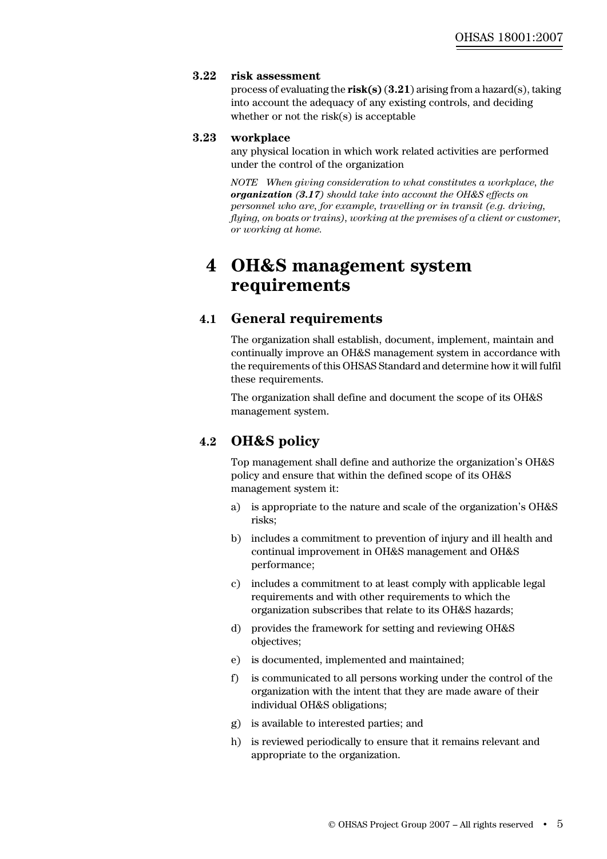### **3.22 risk assessment**

process of evaluating the **risk(s)** (**[3.21](#page-13-4)**) arising from a hazard(s), taking into account the adequacy of any existing controls, and deciding whether or not the risk(s) is acceptable

#### <span id="page-14-1"></span>**3.23 workplace**

any physical location in which work related activities are performed under the control of the organization

*NOTE When giving consideration to what constitutes a workplace, the organization ([3.17](#page-13-2)) should take into account the OH&S effects on personnel who are, for example, travelling or in transit (e.g. driving, flying, on boats or trains), working at the premises of a client or customer, or working at home.*

# <span id="page-14-0"></span>**4 OH&S management system requirements**

# <span id="page-14-3"></span>**4.1 General requirements**

The organization shall establish, document, implement, maintain and continually improve an OH&S management system in accordance with the requirements of this OHSAS Standard and determine how it will fulfil these requirements.

The organization shall define and document the scope of its OH&S management system.

# <span id="page-14-2"></span>**4.2 OH&S policy**

Top management shall define and authorize the organization's OH&S policy and ensure that within the defined scope of its OH&S management system it:

- a) is appropriate to the nature and scale of the organization's OH&S risks;
- b) includes a commitment to prevention of injury and ill health and continual improvement in OH&S management and OH&S performance;
- c) includes a commitment to at least comply with applicable legal requirements and with other requirements to which the organization subscribes that relate to its OH&S hazards;
- d) provides the framework for setting and reviewing OH&S objectives;
- e) is documented, implemented and maintained;
- f) is communicated to all persons working under the control of the organization with the intent that they are made aware of their individual OH&S obligations;
- g) is available to interested parties; and
- h) is reviewed periodically to ensure that it remains relevant and appropriate to the organization.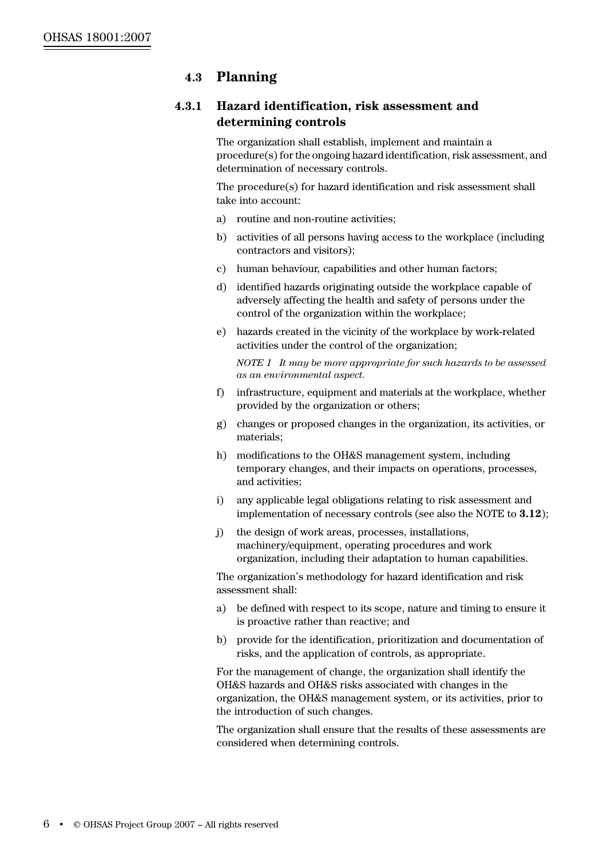# **4.3 Planning**

# <span id="page-15-1"></span><span id="page-15-0"></span>**4.3.1 Hazard identification, risk assessment and determining controls**

The organization shall establish, implement and maintain a procedure(s) for the ongoing hazard identification, risk assessment, and determination of necessary controls.

The procedure(s) for hazard identification and risk assessment shall take into account:

- a) routine and non-routine activities;
- b) activities of all persons having access to the workplace (including contractors and visitors);
- c) human behaviour, capabilities and other human factors;
- d) identified hazards originating outside the workplace capable of adversely affecting the health and safety of persons under the control of the organization within the workplace;
- e) hazards created in the vicinity of the workplace by work-related activities under the control of the organization;

*NOTE 1 It may be more appropriate for such hazards to be assessed as an environmental aspect.*

- f) infrastructure, equipment and materials at the workplace, whether provided by the organization or others;
- g) changes or proposed changes in the organization, its activities, or materials;
- h) modifications to the OH&S management system, including temporary changes, and their impacts on operations, processes, and activities;
- i) any applicable legal obligations relating to risk assessment and implementation of necessary controls (see also the NOTE to **[3.12](#page-12-4)**);
- j) the design of work areas, processes, installations, machinery/equipment, operating procedures and work organization, including their adaptation to human capabilities.

The organization's methodology for hazard identification and risk assessment shall:

- a) be defined with respect to its scope, nature and timing to ensure it is proactive rather than reactive; and
- b) provide for the identification, prioritization and documentation of risks, and the application of controls, as appropriate.

For the management of change, the organization shall identify the OH&S hazards and OH&S risks associated with changes in the organization, the OH&S management system, or its activities, prior to the introduction of such changes.

The organization shall ensure that the results of these assessments are considered when determining controls.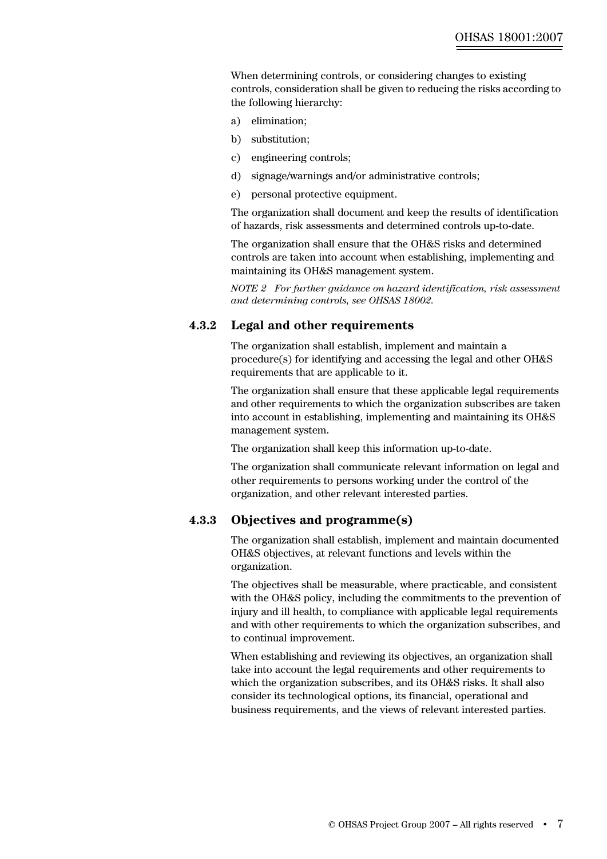When determining controls, or considering changes to existing controls, consideration shall be given to reducing the risks according to the following hierarchy:

- a) elimination;
- b) substitution;
- c) engineering controls;
- d) signage/warnings and/or administrative controls;
- e) personal protective equipment.

The organization shall document and keep the results of identification of hazards, risk assessments and determined controls up-to-date.

The organization shall ensure that the OH&S risks and determined controls are taken into account when establishing, implementing and maintaining its OH&S management system.

*NOTE 2 For further guidance on hazard identification, risk assessment and determining controls, see OHSAS 18002.*

# <span id="page-16-1"></span>**4.3.2 Legal and other requirements**

The organization shall establish, implement and maintain a procedure(s) for identifying and accessing the legal and other OH&S requirements that are applicable to it.

The organization shall ensure that these applicable legal requirements and other requirements to which the organization subscribes are taken into account in establishing, implementing and maintaining its OH&S management system.

The organization shall keep this information up-to-date.

The organization shall communicate relevant information on legal and other requirements to persons working under the control of the organization, and other relevant interested parties.

### <span id="page-16-0"></span>**4.3.3 Objectives and programme(s)**

The organization shall establish, implement and maintain documented OH&S objectives, at relevant functions and levels within the organization.

The objectives shall be measurable, where practicable, and consistent with the OH&S policy, including the commitments to the prevention of injury and ill health, to compliance with applicable legal requirements and with other requirements to which the organization subscribes, and to continual improvement.

When establishing and reviewing its objectives, an organization shall take into account the legal requirements and other requirements to which the organization subscribes, and its OH&S risks. It shall also consider its technological options, its financial, operational and business requirements, and the views of relevant interested parties.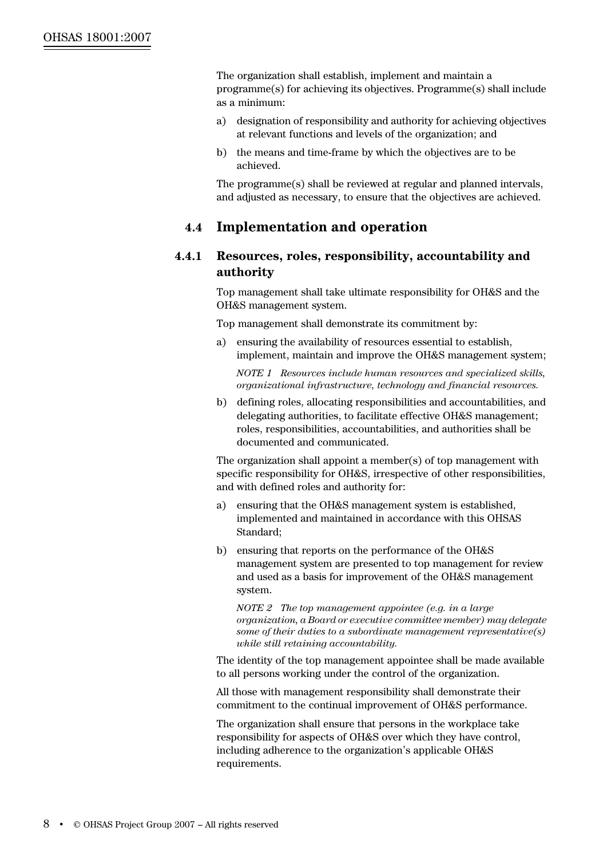The organization shall establish, implement and maintain a programme(s) for achieving its objectives. Programme(s) shall include as a minimum:

- a) designation of responsibility and authority for achieving objectives at relevant functions and levels of the organization; and
- b) the means and time-frame by which the objectives are to be achieved.

The programme(s) shall be reviewed at regular and planned intervals, and adjusted as necessary, to ensure that the objectives are achieved.

# **4.4 Implementation and operation**

# <span id="page-17-1"></span><span id="page-17-0"></span>**4.4.1 Resources, roles, responsibility, accountability and authority**

Top management shall take ultimate responsibility for OH&S and the OH&S management system.

Top management shall demonstrate its commitment by:

a) ensuring the availability of resources essential to establish, implement, maintain and improve the OH&S management system;

*NOTE 1 Resources include human resources and specialized skills, organizational infrastructure, technology and financial resources.*

b) defining roles, allocating responsibilities and accountabilities, and delegating authorities, to facilitate effective OH&S management; roles, responsibilities, accountabilities, and authorities shall be documented and communicated.

The organization shall appoint a member(s) of top management with specific responsibility for OH&S, irrespective of other responsibilities, and with defined roles and authority for:

- a) ensuring that the OH&S management system is established, implemented and maintained in accordance with this OHSAS Standard;
- b) ensuring that reports on the performance of the OH&S management system are presented to top management for review and used as a basis for improvement of the OH&S management system.

*NOTE 2 The top management appointee (e.g. in a large organization, a Board or executive committee member) may delegate some of their duties to a subordinate management representative(s) while still retaining accountability.* 

The identity of the top management appointee shall be made available to all persons working under the control of the organization.

All those with management responsibility shall demonstrate their commitment to the continual improvement of OH&S performance.

The organization shall ensure that persons in the workplace take responsibility for aspects of OH&S over which they have control, including adherence to the organization's applicable OH&S requirements.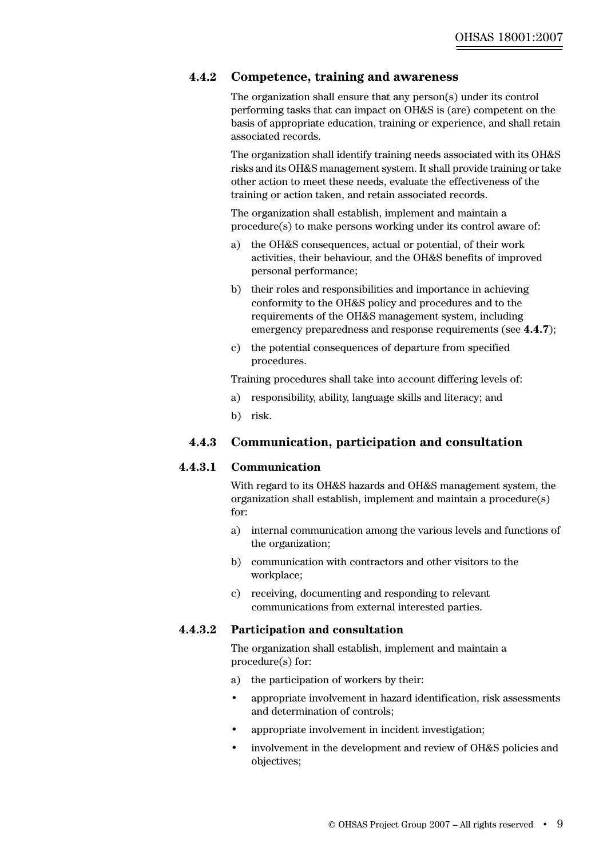# <span id="page-18-2"></span>**4.4.2 Competence, training and awareness**

The organization shall ensure that any person(s) under its control performing tasks that can impact on OH&S is (are) competent on the basis of appropriate education, training or experience, and shall retain associated records.

The organization shall identify training needs associated with its OH&S risks and its OH&S management system. It shall provide training or take other action to meet these needs, evaluate the effectiveness of the training or action taken, and retain associated records.

The organization shall establish, implement and maintain a procedure(s) to make persons working under its control aware of:

- a) the OH&S consequences, actual or potential, of their work activities, their behaviour, and the OH&S benefits of improved personal performance;
- b) their roles and responsibilities and importance in achieving conformity to the OH&S policy and procedures and to the requirements of the OH&S management system, including emergency preparedness and response requirements (see **[4.4.7](#page-20-1)**);
- c) the potential consequences of departure from specified procedures.

Training procedures shall take into account differing levels of:

- a) responsibility, ability, language skills and literacy; and
- b) risk.

### **4.4.3 Communication, participation and consultation**

#### <span id="page-18-1"></span>**4.4.3.1 Communication**

With regard to its OH&S hazards and OH&S management system, the organization shall establish, implement and maintain a procedure(s) for:

- a) internal communication among the various levels and functions of the organization;
- b) communication with contractors and other visitors to the workplace;
- c) receiving, documenting and responding to relevant communications from external interested parties.

#### <span id="page-18-0"></span>**4.4.3.2 Participation and consultation**

The organization shall establish, implement and maintain a procedure(s) for:

- a) the participation of workers by their:
- appropriate involvement in hazard identification, risk assessments and determination of controls;
- appropriate involvement in incident investigation;
- involvement in the development and review of OH&S policies and objectives;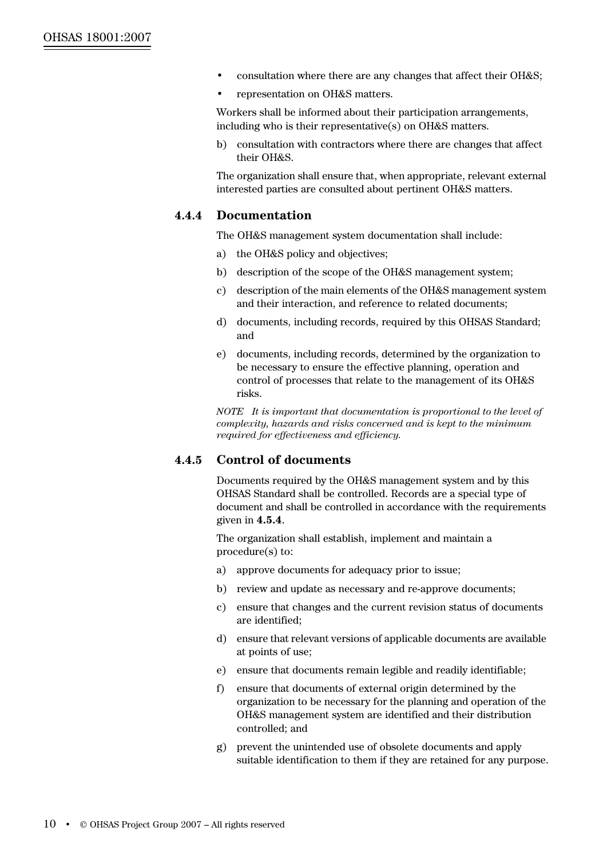- consultation where there are any changes that affect their OH&S;
- representation on OH&S matters.

Workers shall be informed about their participation arrangements, including who is their representative(s) on OH&S matters.

b) consultation with contractors where there are changes that affect their OH&S.

The organization shall ensure that, when appropriate, relevant external interested parties are consulted about pertinent OH&S matters.

#### <span id="page-19-0"></span>**4.4.4 Documentation**

The OH&S management system documentation shall include:

- a) the OH&S policy and objectives;
- b) description of the scope of the OH&S management system;
- c) description of the main elements of the OH&S management system and their interaction, and reference to related documents;
- d) documents, including records, required by this OHSAS Standard; and
- e) documents, including records, determined by the organization to be necessary to ensure the effective planning, operation and control of processes that relate to the management of its OH&S risks.

*NOTE It is important that documentation is proportional to the level of complexity, hazards and risks concerned and is kept to the minimum required for effectiveness and efficiency.*

### <span id="page-19-1"></span>**4.4.5 Control of documents**

Documents required by the OH&S management system and by this OHSAS Standard shall be controlled. Records are a special type of document and shall be controlled in accordance with the requirements given in **[4.5.4](#page-22-0)**.

The organization shall establish, implement and maintain a procedure(s) to:

- a) approve documents for adequacy prior to issue;
- b) review and update as necessary and re-approve documents;
- c) ensure that changes and the current revision status of documents are identified;
- d) ensure that relevant versions of applicable documents are available at points of use;
- e) ensure that documents remain legible and readily identifiable;
- f) ensure that documents of external origin determined by the organization to be necessary for the planning and operation of the OH&S management system are identified and their distribution controlled; and
- g) prevent the unintended use of obsolete documents and apply suitable identification to them if they are retained for any purpose.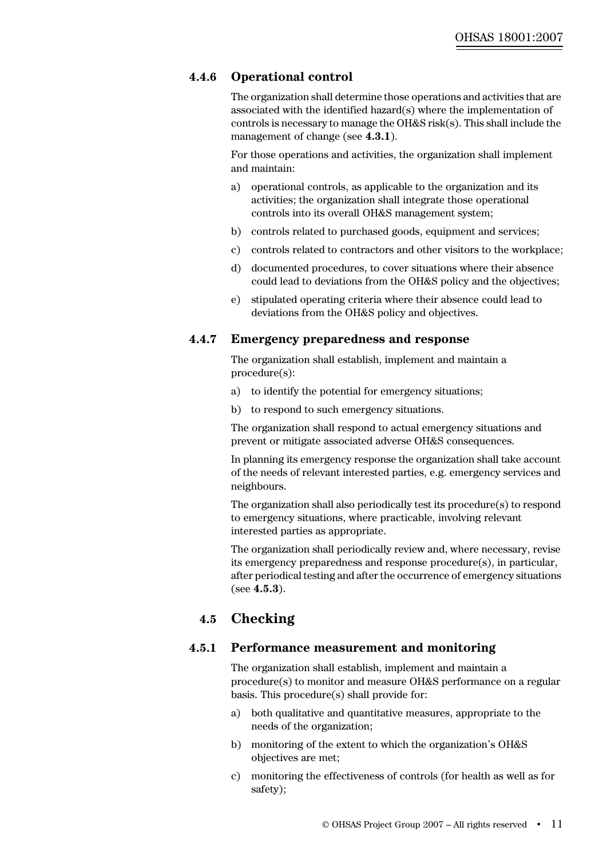# <span id="page-20-0"></span>**4.4.6 Operational control**

The organization shall determine those operations and activities that are associated with the identified hazard(s) where the implementation of controls is necessary to manage the OH&S risk(s). This shall include the management of change (see **[4.3.1](#page-15-0)**).

For those operations and activities, the organization shall implement and maintain:

- a) operational controls, as applicable to the organization and its activities; the organization shall integrate those operational controls into its overall OH&S management system;
- b) controls related to purchased goods, equipment and services;
- c) controls related to contractors and other visitors to the workplace;
- d) documented procedures, to cover situations where their absence could lead to deviations from the OH&S policy and the objectives;
- e) stipulated operating criteria where their absence could lead to deviations from the OH&S policy and objectives.

#### <span id="page-20-1"></span>**4.4.7 Emergency preparedness and response**

The organization shall establish, implement and maintain a procedure(s):

- a) to identify the potential for emergency situations;
- b) to respond to such emergency situations.

The organization shall respond to actual emergency situations and prevent or mitigate associated adverse OH&S consequences.

In planning its emergency response the organization shall take account of the needs of relevant interested parties, e.g. emergency services and neighbours.

The organization shall also periodically test its procedure(s) to respond to emergency situations, where practicable, involving relevant interested parties as appropriate.

The organization shall periodically review and, where necessary, revise its emergency preparedness and response procedure(s), in particular, after periodical testing and after the occurrence of emergency situations (see **[4.5.3](#page-21-2)**).

# **4.5 Checking**

#### <span id="page-20-3"></span><span id="page-20-2"></span>**4.5.1 Performance measurement and monitoring**

The organization shall establish, implement and maintain a procedure(s) to monitor and measure OH&S performance on a regular basis. This procedure(s) shall provide for:

- a) both qualitative and quantitative measures, appropriate to the needs of the organization;
- b) monitoring of the extent to which the organization's OH&S objectives are met;
- c) monitoring the effectiveness of controls (for health as well as for safety);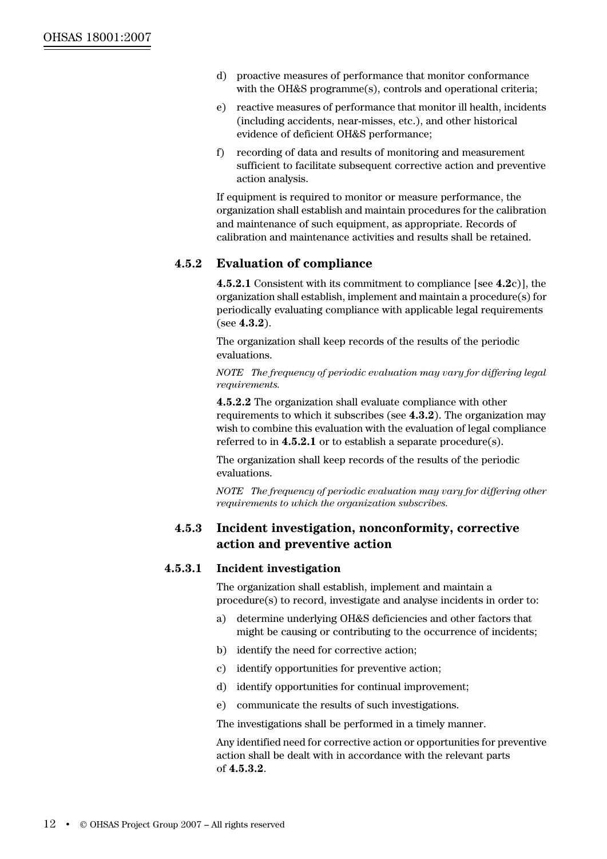- d) proactive measures of performance that monitor conformance with the OH&S programme(s), controls and operational criteria;
- e) reactive measures of performance that monitor ill health, incidents (including accidents, near-misses, etc.), and other historical evidence of deficient OH&S performance;
- f) recording of data and results of monitoring and measurement sufficient to facilitate subsequent corrective action and preventive action analysis.

If equipment is required to monitor or measure performance, the organization shall establish and maintain procedures for the calibration and maintenance of such equipment, as appropriate. Records of calibration and maintenance activities and results shall be retained.

# <span id="page-21-0"></span>**4.5.2 Evaluation of compliance**

<span id="page-21-3"></span>**4.5.2.1** Consistent with its commitment to compliance [see **[4.2](#page-14-2)**c)], the organization shall establish, implement and maintain a procedure(s) for periodically evaluating compliance with applicable legal requirements (see **[4.3.2](#page-16-1)**).

The organization shall keep records of the results of the periodic evaluations.

*NOTE The frequency of periodic evaluation may vary for differing legal requirements.*

**4.5.2.2** The organization shall evaluate compliance with other requirements to which it subscribes (see **[4.3.2](#page-16-1)**). The organization may wish to combine this evaluation with the evaluation of legal compliance referred to in **[4.5.2.1](#page-21-3)** or to establish a separate procedure(s).

The organization shall keep records of the results of the periodic evaluations.

*NOTE The frequency of periodic evaluation may vary for differing other requirements to which the organization subscribes.*

# **4.5.3 Incident investigation, nonconformity, corrective action and preventive action**

#### <span id="page-21-2"></span><span id="page-21-1"></span>**4.5.3.1 Incident investigation**

The organization shall establish, implement and maintain a procedure(s) to record, investigate and analyse incidents in order to:

- a) determine underlying OH&S deficiencies and other factors that might be causing or contributing to the occurrence of incidents;
- b) identify the need for corrective action;
- c) identify opportunities for preventive action;
- d) identify opportunities for continual improvement;
- e) communicate the results of such investigations.

The investigations shall be performed in a timely manner.

Any identified need for corrective action or opportunities for preventive action shall be dealt with in accordance with the relevant parts of **[4.5.3.2](#page-22-1)**.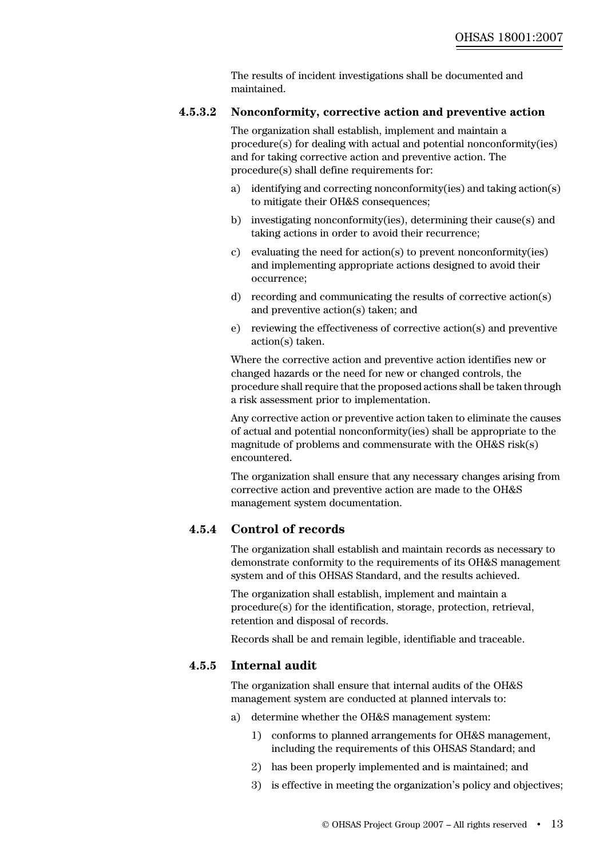The results of incident investigations shall be documented and maintained.

#### <span id="page-22-1"></span>**4.5.3.2 Nonconformity, corrective action and preventive action**

The organization shall establish, implement and maintain a procedure(s) for dealing with actual and potential nonconformity(ies) and for taking corrective action and preventive action. The procedure(s) shall define requirements for:

- a) identifying and correcting nonconformity(ies) and taking action(s) to mitigate their OH&S consequences;
- b) investigating nonconformity(ies), determining their cause(s) and taking actions in order to avoid their recurrence;
- c) evaluating the need for action(s) to prevent nonconformity(ies) and implementing appropriate actions designed to avoid their occurrence;
- d) recording and communicating the results of corrective action(s) and preventive action(s) taken; and
- e) reviewing the effectiveness of corrective action(s) and preventive action(s) taken.

Where the corrective action and preventive action identifies new or changed hazards or the need for new or changed controls, the procedure shall require that the proposed actions shall be taken through a risk assessment prior to implementation.

Any corrective action or preventive action taken to eliminate the causes of actual and potential nonconformity(ies) shall be appropriate to the magnitude of problems and commensurate with the OH&S risk(s) encountered.

The organization shall ensure that any necessary changes arising from corrective action and preventive action are made to the OH&S management system documentation.

# <span id="page-22-0"></span>**4.5.4 Control of records**

The organization shall establish and maintain records as necessary to demonstrate conformity to the requirements of its OH&S management system and of this OHSAS Standard, and the results achieved.

The organization shall establish, implement and maintain a procedure(s) for the identification, storage, protection, retrieval, retention and disposal of records.

Records shall be and remain legible, identifiable and traceable.

# <span id="page-22-2"></span>**4.5.5 Internal audit**

The organization shall ensure that internal audits of the OH&S management system are conducted at planned intervals to:

- a) determine whether the OH&S management system:
	- 1) conforms to planned arrangements for OH&S management, including the requirements of this OHSAS Standard; and
	- 2) has been properly implemented and is maintained; and
	- 3) is effective in meeting the organization's policy and objectives;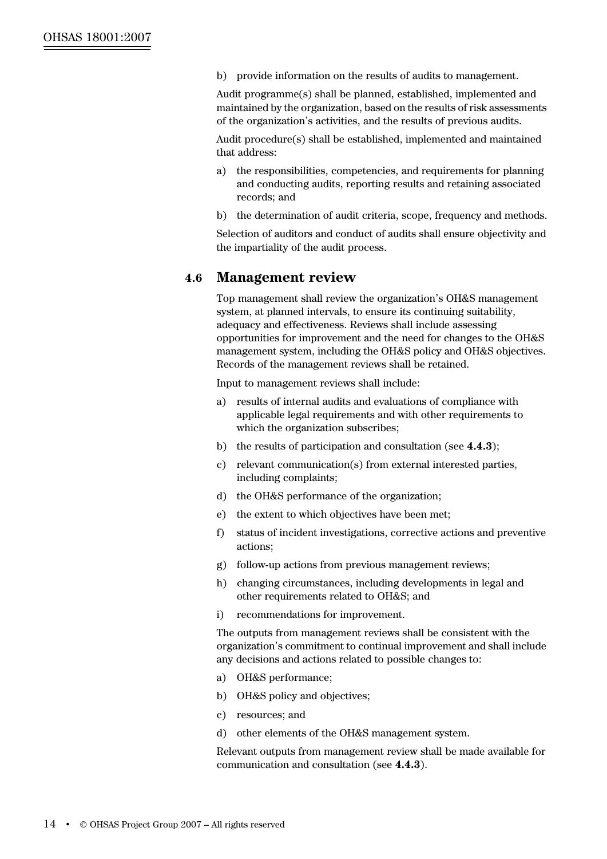b) provide information on the results of audits to management.

Audit programme(s) shall be planned, established, implemented and maintained by the organization, based on the results of risk assessments of the organization's activities, and the results of previous audits.

Audit procedure(s) shall be established, implemented and maintained that address:

- a) the responsibilities, competencies, and requirements for planning and conducting audits, reporting results and retaining associated records; and
- b) the determination of audit criteria, scope, frequency and methods.

Selection of auditors and conduct of audits shall ensure objectivity and the impartiality of the audit process.

#### <span id="page-23-0"></span>**4.6 Management review**

Top management shall review the organization's OH&S management system, at planned intervals, to ensure its continuing suitability, adequacy and effectiveness. Reviews shall include assessing opportunities for improvement and the need for changes to the OH&S management system, including the OH&S policy and OH&S objectives. Records of the management reviews shall be retained.

Input to management reviews shall include:

- a) results of internal audits and evaluations of compliance with applicable legal requirements and with other requirements to which the organization subscribes;
- b) the results of participation and consultation (see **[4.4.3](#page-18-1)**);
- c) relevant communication(s) from external interested parties, including complaints;
- d) the OH&S performance of the organization;
- e) the extent to which objectives have been met;
- f) status of incident investigations, corrective actions and preventive actions;
- g) follow-up actions from previous management reviews;
- h) changing circumstances, including developments in legal and other requirements related to OH&S; and
- i) recommendations for improvement.

The outputs from management reviews shall be consistent with the organization's commitment to continual improvement and shall include any decisions and actions related to possible changes to:

- a) OH&S performance;
- b) OH&S policy and objectives;
- c) resources; and
- d) other elements of the OH&S management system.

Relevant outputs from management review shall be made available for communication and consultation (see **[4.4.3](#page-18-1)**).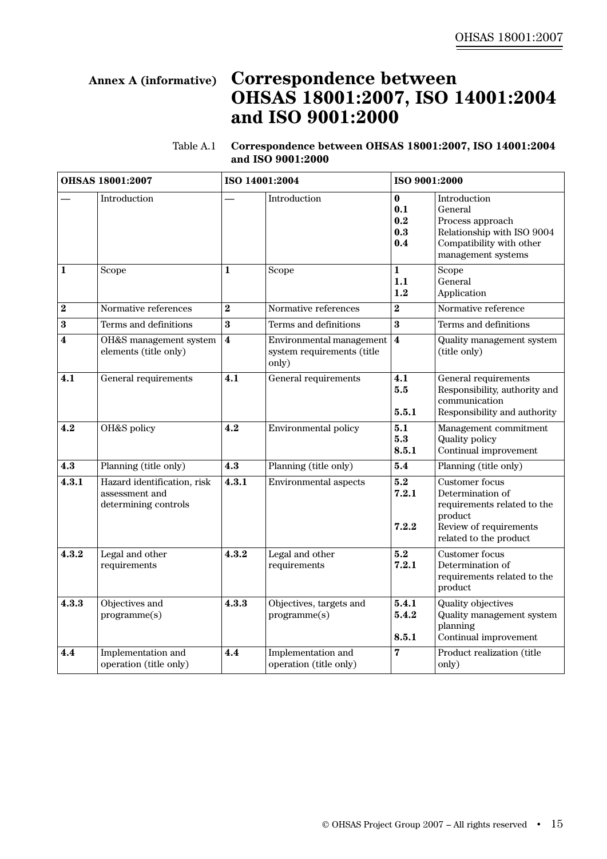# <span id="page-24-1"></span>**Annex A (informative) Correspondence between OHSAS 18001:2007, ISO 14001:2004 and ISO 9001:2000**

| Table A.1 Correspondence between OHSAS 18001:2007, ISO 14001:2004 |
|-------------------------------------------------------------------|
| and ISO 9001:2000                                                 |

<span id="page-24-0"></span>

| <b>OHSAS 18001:2007</b> |                                                                       | ISO 14001:2004          |                                                                 | ISO 9001:2000                        |                                                                                                                                         |
|-------------------------|-----------------------------------------------------------------------|-------------------------|-----------------------------------------------------------------|--------------------------------------|-----------------------------------------------------------------------------------------------------------------------------------------|
|                         | Introduction                                                          |                         | Introduction                                                    | $\bf{0}$<br>0.1<br>0.2<br>0.3<br>0.4 | Introduction<br>General<br>Process approach<br>Relationship with ISO 9004<br>Compatibility with other<br>management systems             |
| $\mathbf{1}$            | Scope                                                                 | $\mathbf{1}$            | Scope                                                           | $\mathbf{1}$<br>1.1<br>1.2           | Scope<br>General<br>Application                                                                                                         |
| $\overline{2}$          | Normative references                                                  | $\overline{\mathbf{2}}$ | Normative references                                            | $\overline{2}$                       | Normative reference                                                                                                                     |
| $\overline{\mathbf{3}}$ | Terms and definitions                                                 | $\bf{3}$                | Terms and definitions                                           | $\bf{3}$                             | Terms and definitions                                                                                                                   |
| $\overline{\mathbf{4}}$ | OH&S management system<br>elements (title only)                       | $\overline{\mathbf{4}}$ | Environmental management<br>system requirements (title<br>only) | $\overline{\mathbf{4}}$              | Quality management system<br>(title only)                                                                                               |
| 4.1                     | General requirements                                                  | 4.1                     | General requirements                                            | 4.1<br>5.5<br>5.5.1                  | General requirements<br>Responsibility, authority and<br>communication<br>Responsibility and authority                                  |
| 4.2                     | OH&S policy                                                           | 4.2                     | Environmental policy                                            | 5.1<br>5.3<br>8.5.1                  | Management commitment<br>Quality policy<br>Continual improvement                                                                        |
| 4.3                     | Planning (title only)                                                 | 4.3                     | Planning (title only)                                           | 5.4                                  | Planning (title only)                                                                                                                   |
| 4.3.1                   | Hazard identification, risk<br>assessment and<br>determining controls | 4.3.1                   | Environmental aspects                                           | 5.2<br>7.2.1<br>7.2.2                | <b>Customer</b> focus<br>Determination of<br>requirements related to the<br>product<br>Review of requirements<br>related to the product |
| 4.3.2                   | Legal and other<br>requirements                                       | 4.3.2                   | Legal and other<br>requirements                                 | 5.2<br>7.2.1                         | <b>Customer</b> focus<br>Determination of<br>requirements related to the<br>product                                                     |
| 4.3.3                   | Objectives and<br>programme(s)                                        | 4.3.3                   | Objectives, targets and<br>programme(s)                         | 5.4.1<br>5.4.2<br>8.5.1              | Quality objectives<br>Quality management system<br>planning<br>Continual improvement                                                    |
| 4.4                     | Implementation and<br>operation (title only)                          | 4.4                     | Implementation and<br>operation (title only)                    | 7                                    | Product realization (title<br>only)                                                                                                     |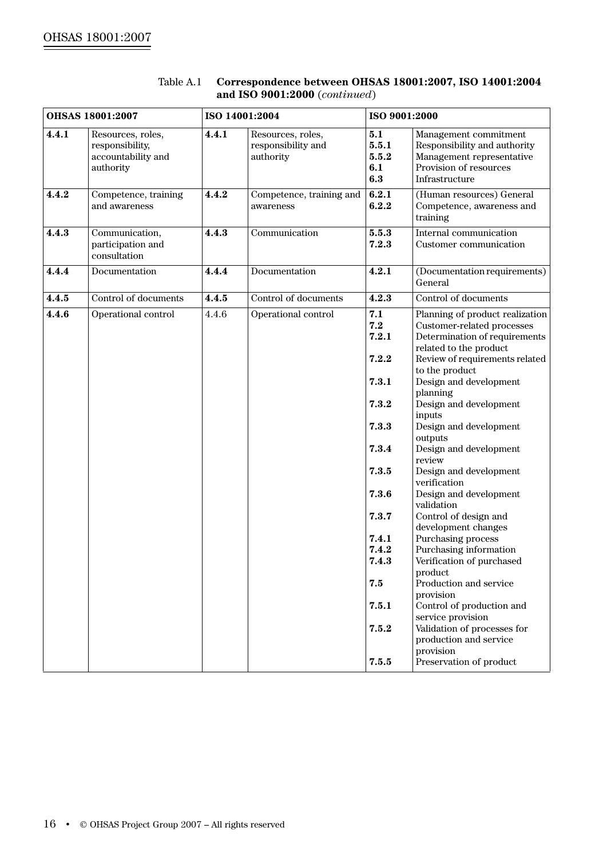| <b>OHSAS 18001:2007</b> |                                                                         |       | ISO 14001:2004                                       |                                                                                                                               | ISO 9001:2000                                                                                                                                                                                                                                                                                                                                                                                                                                                                                                                                                                       |  |
|-------------------------|-------------------------------------------------------------------------|-------|------------------------------------------------------|-------------------------------------------------------------------------------------------------------------------------------|-------------------------------------------------------------------------------------------------------------------------------------------------------------------------------------------------------------------------------------------------------------------------------------------------------------------------------------------------------------------------------------------------------------------------------------------------------------------------------------------------------------------------------------------------------------------------------------|--|
| 4.4.1                   | Resources, roles,<br>responsibility,<br>accountability and<br>authority | 4.4.1 | Resources, roles,<br>responsibility and<br>authority | 5.1<br>5.5.1<br>5.5.2<br>6.1<br>6.3                                                                                           | Management commitment<br>Responsibility and authority<br>Management representative<br>Provision of resources<br>Infrastructure                                                                                                                                                                                                                                                                                                                                                                                                                                                      |  |
| 4.4.2                   | Competence, training<br>and awareness                                   | 4.4.2 | Competence, training and<br>awareness                | 6.2.1<br>6.2.2                                                                                                                | (Human resources) General<br>Competence, awareness and<br>training                                                                                                                                                                                                                                                                                                                                                                                                                                                                                                                  |  |
| 4.4.3                   | Communication,<br>participation and<br>consultation                     | 4.4.3 | Communication                                        | 5.5.3<br>7.2.3                                                                                                                | Internal communication<br>Customer communication                                                                                                                                                                                                                                                                                                                                                                                                                                                                                                                                    |  |
| 4.4.4                   | Documentation                                                           | 4.4.4 | Documentation                                        | 4.2.1                                                                                                                         | (Documentation requirements)<br>General                                                                                                                                                                                                                                                                                                                                                                                                                                                                                                                                             |  |
| 4.4.5                   | Control of documents                                                    | 4.4.5 | Control of documents                                 | 4.2.3                                                                                                                         | Control of documents                                                                                                                                                                                                                                                                                                                                                                                                                                                                                                                                                                |  |
| 4.4.6                   | Operational control                                                     | 4.4.6 | Operational control                                  | 7.1<br>7.2<br>7.2.1<br>7.2.2<br>7.3.1<br>7.3.2<br>7.3.3<br>7.3.4<br>7.3.5<br>7.3.6<br>7.3.7<br>7.4.1<br>7.4.2<br>7.4.3<br>7.5 | Planning of product realization<br>Customer-related processes<br>Determination of requirements<br>related to the product<br>Review of requirements related<br>to the product<br>Design and development<br>planning<br>Design and development<br>inputs<br>Design and development<br>outputs<br>Design and development<br>review<br>Design and development<br>verification<br>Design and development<br>validation<br>Control of design and<br>development changes<br>Purchasing process<br>Purchasing information<br>Verification of purchased<br>product<br>Production and service |  |
|                         |                                                                         |       |                                                      | 7.5.1<br>7.5.2<br>7.5.5                                                                                                       | provision<br>Control of production and<br>service provision<br>Validation of processes for<br>production and service<br>provision<br>Preservation of product                                                                                                                                                                                                                                                                                                                                                                                                                        |  |

# Table A.1 **Correspondence between OHSAS 18001:2007, ISO 14001:2004 and ISO 9001:2000** (*continued*)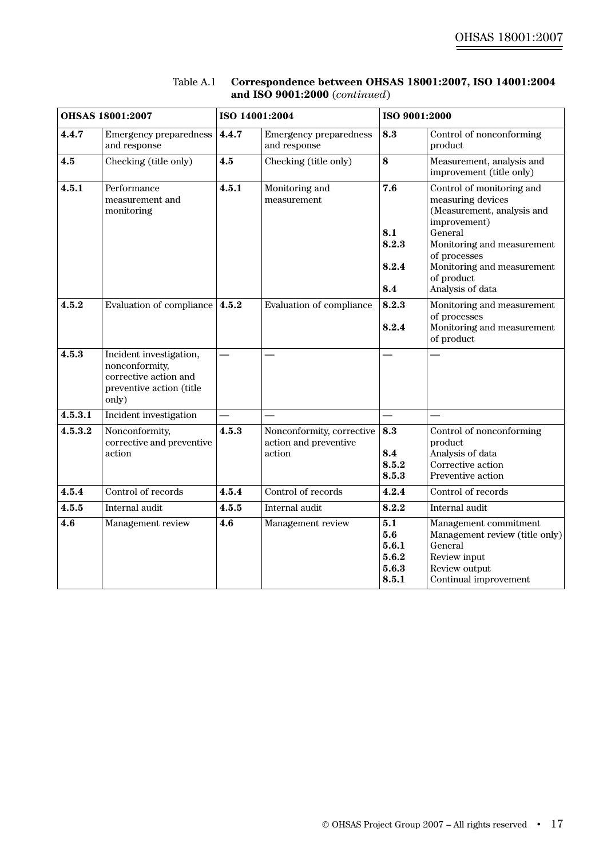| <b>OHSAS 18001:2007</b> |                                                                                                         | ISO 14001:2004 |                                                              | ISO 9001:2000                                        |                                                                                                                                                                                                                       |
|-------------------------|---------------------------------------------------------------------------------------------------------|----------------|--------------------------------------------------------------|------------------------------------------------------|-----------------------------------------------------------------------------------------------------------------------------------------------------------------------------------------------------------------------|
| 4.4.7                   | <b>Emergency preparedness</b><br>and response                                                           | 4.4.7          | <b>Emergency preparedness</b><br>and response                | 8.3                                                  | Control of nonconforming<br>product                                                                                                                                                                                   |
| 4.5                     | Checking (title only)                                                                                   | 4.5            | Checking (title only)                                        | $\overline{\mathbf{8}}$                              | Measurement, analysis and<br>improvement (title only)                                                                                                                                                                 |
| 4.5.1                   | Performance<br>measurement and<br>monitoring                                                            | 4.5.1          | Monitoring and<br>measurement                                | 7.6<br>8.1<br>8.2.3<br>8.2.4<br>8.4                  | Control of monitoring and<br>measuring devices<br>(Measurement, analysis and<br>improvement)<br>General<br>Monitoring and measurement<br>of processes<br>Monitoring and measurement<br>of product<br>Analysis of data |
| 4.5.2                   | Evaluation of compliance 4.5.2                                                                          |                | Evaluation of compliance                                     | 8.2.3<br>8.2.4                                       | Monitoring and measurement<br>of processes<br>Monitoring and measurement<br>of product                                                                                                                                |
| 4.5.3                   | Incident investigation,<br>nonconformity,<br>corrective action and<br>preventive action (title<br>only) |                |                                                              |                                                      |                                                                                                                                                                                                                       |
| 4.5.3.1                 | Incident investigation                                                                                  |                |                                                              |                                                      |                                                                                                                                                                                                                       |
| 4.5.3.2                 | Nonconformity,<br>corrective and preventive<br>action                                                   | 4.5.3          | Nonconformity, corrective<br>action and preventive<br>action | 8.3<br>8.4<br>8.5.2<br>8.5.3                         | Control of nonconforming<br>product<br>Analysis of data<br>Corrective action<br>Preventive action                                                                                                                     |
| 4.5.4                   | Control of records                                                                                      | 4.5.4          | Control of records                                           | 4.2.4                                                | Control of records                                                                                                                                                                                                    |
| 4.5.5                   | Internal audit                                                                                          | 4.5.5          | Internal audit                                               | 8.2.2                                                | Internal audit                                                                                                                                                                                                        |
| 4.6                     | Management review                                                                                       | 4.6            | Management review                                            | 5.1<br>5.6<br>5.6.1<br>5.6.2<br>$\bf 5.6.3$<br>8.5.1 | Management commitment<br>Management review (title only)<br>General<br>Review input<br>Review output<br>Continual improvement                                                                                          |

### Table A.1 **Correspondence between OHSAS 18001:2007, ISO 14001:2004 and ISO 9001:2000** (*continued*)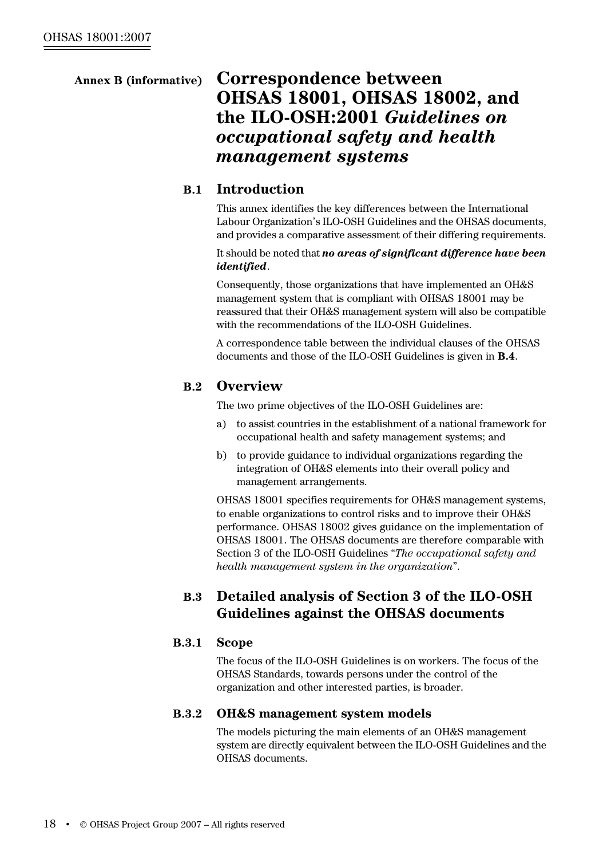# <span id="page-27-0"></span>**Annex B (informative) Correspondence between OHSAS 18001, OHSAS 18002, and the ILO-OSH:2001** *Guidelines on occupational safety and health management systems*

# **B.1 Introduction**

This annex identifies the key differences between the International Labour Organization's ILO-OSH Guidelines and the OHSAS documents, and provides a comparative assessment of their differing requirements.

#### It should be noted that *no areas of significant difference have been identified*.

Consequently, those organizations that have implemented an OH&S management system that is compliant with OHSAS 18001 may be reassured that their OH&S management system will also be compatible with the recommendations of the ILO-OSH Guidelines.

A correspondence table between the individual clauses of the OHSAS documents and those of the ILO-OSH Guidelines is given in **[B.4](#page-29-1)**.

# **B.2 Overview**

The two prime objectives of the ILO-OSH Guidelines are:

- a) to assist countries in the establishment of a national framework for occupational health and safety management systems; and
- b) to provide guidance to individual organizations regarding the integration of OH&S elements into their overall policy and management arrangements.

OHSAS 18001 specifies requirements for OH&S management systems, to enable organizations to control risks and to improve their OH&S performance. OHSAS 18002 gives guidance on the implementation of OHSAS 18001. The OHSAS documents are therefore comparable with Section 3 of the ILO-OSH Guidelines "*The occupational safety and health management system in the organization*".

# **B.3 Detailed analysis of Section 3 of the ILO-OSH Guidelines against the OHSAS documents**

#### **B.3.1 Scope**

The focus of the ILO-OSH Guidelines is on workers. The focus of the OHSAS Standards, towards persons under the control of the organization and other interested parties, is broader.

#### **B.3.2 OH&S management system models**

The models picturing the main elements of an OH&S management system are directly equivalent between the ILO-OSH Guidelines and the OHSAS documents.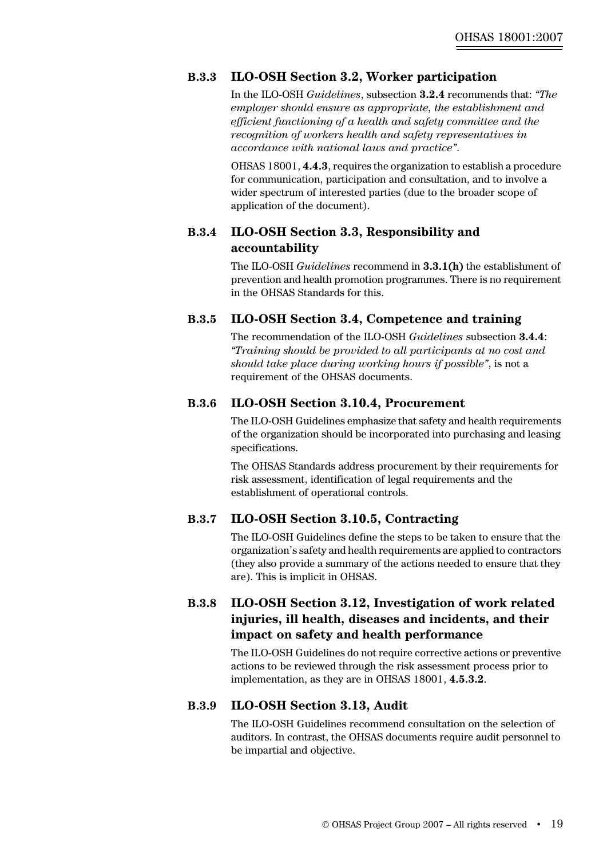# **B.3.3 ILO-OSH Section 3.2, Worker participation**

In the ILO-OSH *Guidelines*, subsection **3.2.4** recommends that: *"The employer should ensure as appropriate, the establishment and efficient functioning of a health and safety committee and the recognition of workers health and safety representatives in accordance with national laws and practice"*.

OHSAS 18001, **[4.4.3](#page-18-1)**, requires the organization to establish a procedure for communication, participation and consultation, and to involve a wider spectrum of interested parties (due to the broader scope of application of the document).

# **B.3.4 ILO-OSH Section 3.3, Responsibility and accountability**

The ILO-OSH *Guidelines* recommend in **3.3.1(h)** the establishment of prevention and health promotion programmes. There is no requirement in the OHSAS Standards for this.

# **B.3.5 ILO-OSH Section 3.4, Competence and training**

The recommendation of the ILO-OSH *Guidelines* subsection **3.4.4**: *"Training should be provided to all participants at no cost and should take place during working hours if possible"*, is not a requirement of the OHSAS documents.

# **B.3.6 ILO-OSH Section 3.10.4, Procurement**

The ILO-OSH Guidelines emphasize that safety and health requirements of the organization should be incorporated into purchasing and leasing specifications.

The OHSAS Standards address procurement by their requirements for risk assessment, identification of legal requirements and the establishment of operational controls.

### **B.3.7 ILO-OSH Section 3.10.5, Contracting**

The ILO-OSH Guidelines define the steps to be taken to ensure that the organization's safety and health requirements are applied to contractors (they also provide a summary of the actions needed to ensure that they are). This is implicit in OHSAS.

# **B.3.8 ILO-OSH Section 3.12, Investigation of work related injuries, ill health, diseases and incidents, and their impact on safety and health performance**

The ILO-OSH Guidelines do not require corrective actions or preventive actions to be reviewed through the risk assessment process prior to implementation, as they are in OHSAS 18001, **[4.5.3.2](#page-22-1)**.

### **B.3.9 ILO-OSH Section 3.13, Audit**

The ILO-OSH Guidelines recommend consultation on the selection of auditors. In contrast, the OHSAS documents require audit personnel to be impartial and objective.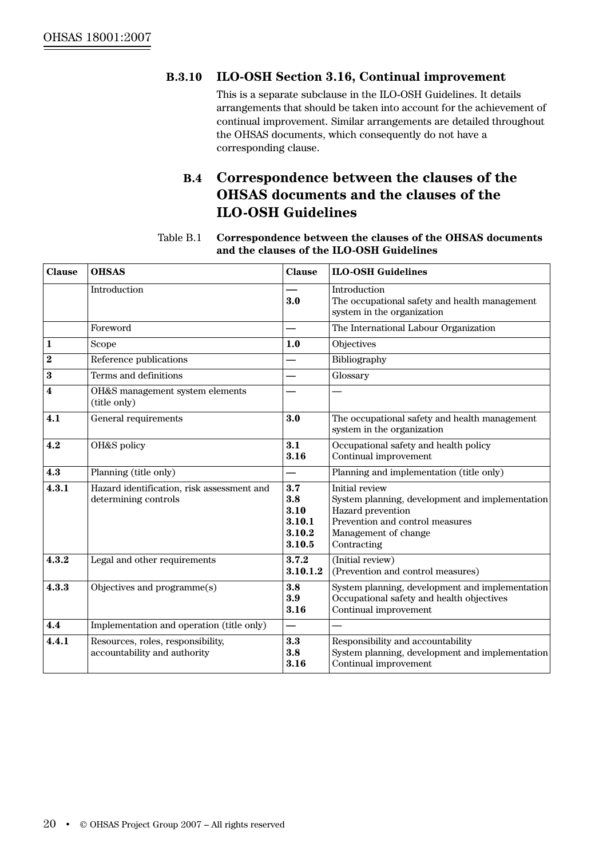# **B.3.10 ILO-OSH Section 3.16, Continual improvement**

This is a separate subclause in the ILO-OSH Guidelines. It details arrangements that should be taken into account for the achievement of continual improvement. Similar arrangements are detailed throughout the OHSAS documents, which consequently do not have a corresponding clause.

# **B.4 Correspondence between the clauses of the OHSAS documents and the clauses of the ILO-OSH Guidelines**

Table B.1 **Correspondence between the clauses of the OHSAS documents and the clauses of the ILO-OSH Guidelines**

<span id="page-29-1"></span><span id="page-29-0"></span>

| <b>Clause</b> | <b>OHSAS</b>                                                       | <b>Clause</b>                                    | <b>ILO-OSH Guidelines</b>                                                                                                                                        |
|---------------|--------------------------------------------------------------------|--------------------------------------------------|------------------------------------------------------------------------------------------------------------------------------------------------------------------|
|               | <b>Introduction</b>                                                | 3.0                                              | Introduction<br>The occupational safety and health management<br>system in the organization                                                                      |
|               | Foreword                                                           |                                                  | The International Labour Organization                                                                                                                            |
| $\mathbf{1}$  | Scope                                                              | 1.0                                              | Objectives                                                                                                                                                       |
| $\bf{2}$      | Reference publications                                             |                                                  | Bibliography                                                                                                                                                     |
| $\bf{3}$      | Terms and definitions                                              |                                                  | Glossary                                                                                                                                                         |
| 4             | OH&S management system elements<br>(title only)                    |                                                  |                                                                                                                                                                  |
| 4.1           | General requirements                                               | 3.0                                              | The occupational safety and health management<br>system in the organization                                                                                      |
| 4.2           | OH&S policy                                                        | $\overline{\mathbf{3.1}}$<br>3.16                | Occupational safety and health policy<br>Continual improvement                                                                                                   |
| 4.3           | Planning (title only)                                              |                                                  | Planning and implementation (title only)                                                                                                                         |
| 4.3.1         | Hazard identification, risk assessment and<br>determining controls | 3.7<br>3.8<br>3.10<br>3.10.1<br>3.10.2<br>3.10.5 | Initial review<br>System planning, development and implementation<br>Hazard prevention<br>Prevention and control measures<br>Management of change<br>Contracting |
| 4.3.2         | Legal and other requirements                                       | 3.7.2<br>3.10.1.2                                | (Initial review)<br>(Prevention and control measures)                                                                                                            |
| 4.3.3         | Objectives and programme(s)                                        | 3.8<br>3.9<br>3.16                               | System planning, development and implementation<br>Occupational safety and health objectives<br>Continual improvement                                            |
| 4.4           | Implementation and operation (title only)                          |                                                  |                                                                                                                                                                  |
| 4.4.1         | Resources, roles, responsibility,<br>accountability and authority  | 3.3<br>3.8<br>3.16                               | Responsibility and accountability<br>System planning, development and implementation<br>Continual improvement                                                    |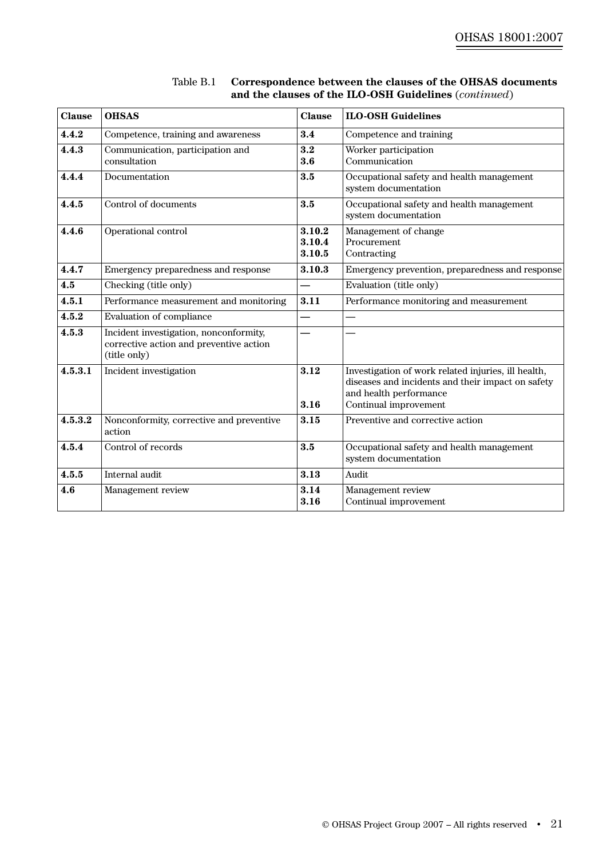| <b>Clause</b> | <b>OHSAS</b>                                                                                      | <b>Clause</b>              | <b>ILO-OSH Guidelines</b>                                                                                                                                   |
|---------------|---------------------------------------------------------------------------------------------------|----------------------------|-------------------------------------------------------------------------------------------------------------------------------------------------------------|
| 4.4.2         | Competence, training and awareness                                                                | 3.4                        | Competence and training                                                                                                                                     |
| 4.4.3         | Communication, participation and<br>consultation                                                  | 3.2<br>3.6                 | Worker participation<br>Communication                                                                                                                       |
| 4.4.4         | Documentation                                                                                     | 3.5                        | Occupational safety and health management<br>system documentation                                                                                           |
| 4.4.5         | Control of documents                                                                              | 3.5                        | Occupational safety and health management<br>system documentation                                                                                           |
| 4.4.6         | Operational control                                                                               | 3.10.2<br>3.10.4<br>3.10.5 | Management of change<br>Procurement<br>Contracting                                                                                                          |
| 4.4.7         | Emergency preparedness and response                                                               | 3.10.3                     | Emergency prevention, preparedness and response                                                                                                             |
| 4.5           | Checking (title only)                                                                             |                            | Evaluation (title only)                                                                                                                                     |
| 4.5.1         | Performance measurement and monitoring                                                            | 3.11                       | Performance monitoring and measurement                                                                                                                      |
| 4.5.2         | Evaluation of compliance                                                                          |                            |                                                                                                                                                             |
| 4.5.3         | Incident investigation, nonconformity,<br>corrective action and preventive action<br>(title only) |                            |                                                                                                                                                             |
| 4.5.3.1       | Incident investigation                                                                            | 3.12<br>3.16               | Investigation of work related injuries, ill health,<br>diseases and incidents and their impact on safety<br>and health performance<br>Continual improvement |
| 4.5.3.2       | Nonconformity, corrective and preventive<br>action                                                | 3.15                       | Preventive and corrective action                                                                                                                            |
| 4.5.4         | Control of records                                                                                | 3.5                        | Occupational safety and health management<br>system documentation                                                                                           |
| 4.5.5         | Internal audit                                                                                    | 3.13                       | Audit                                                                                                                                                       |
| 4.6           | Management review                                                                                 | 3.14<br>3.16               | Management review<br>Continual improvement                                                                                                                  |

### Table B.1 **Correspondence between the clauses of the OHSAS documents and the clauses of the ILO-OSH Guidelines** (*continued*)